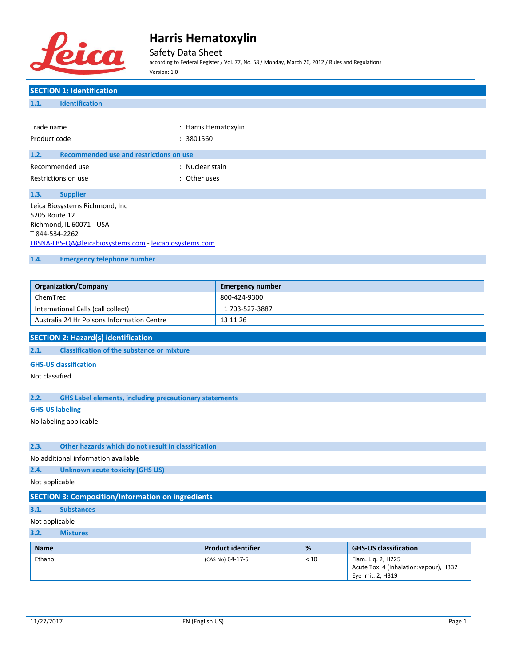

Safety Data Sheet

according to Federal Register / Vol. 77, No. 58 / Monday, March 26, 2012 / Rules and Regulations Version: 1.0

# **SECTION 1: Identification 1.1. Identification** Trade name  $\qquad \qquad :$  Harris Hematoxylin Product code : 3801560 **1.2. Recommended use and restrictions on use** Recommended use in the state of the Second Second Second Second Second Second Second Second Second Second Second Second Second Second Second Second Second Second Second Second Second Second Second Second Second Second Seco Restrictions on use the set of the set of the set of the set of the set of the set of the set of the set of the set of the set of the set of the set of the set of the set of the set of the set of the set of the set of the **1.3. Supplier** Leica Biosystems Richmond, Inc 5205 Route 12 Richmond, IL 60071 - USA T 844-534-2262 [LBSNA-LBS-QA@leicabiosystems.com](mailto:LBSNA-LBS-QA@leicabiosystems.com) - <leicabiosystems.com> **1.4. Emergency telephone number Organization/Company Emergency number** ChemTrec 800-424-9300 International Calls (call collect) +1 703-527-3887 Australia 24 Hr Poisons Information Centre 13 11 26 **SECTION 2: Hazard(s) identification 2.1. Classification of the substance or mixture GHS-US classification** Not classified **2.2. GHS Label elements, including precautionary statements GHS-US labeling** No labeling applicable **2.3. Other hazards which do not result in classification** No additional information available **2.4. Unknown acute toxicity (GHS US)** Not applicable **SECTION 3: Composition/Information on ingredients 3.1. Substances** Not applicable

### **3.2. Mixtures**

| <b>Name</b> | <b>Product identifier</b> | %    | <b>GHS-US classification</b>                                                        |
|-------------|---------------------------|------|-------------------------------------------------------------------------------------|
| Ethanol     | (CAS No) 64-17-5          | < 10 | Flam. Lig. 2, H225<br>Acute Tox. 4 (Inhalation: vapour), H332<br>Eye Irrit. 2, H319 |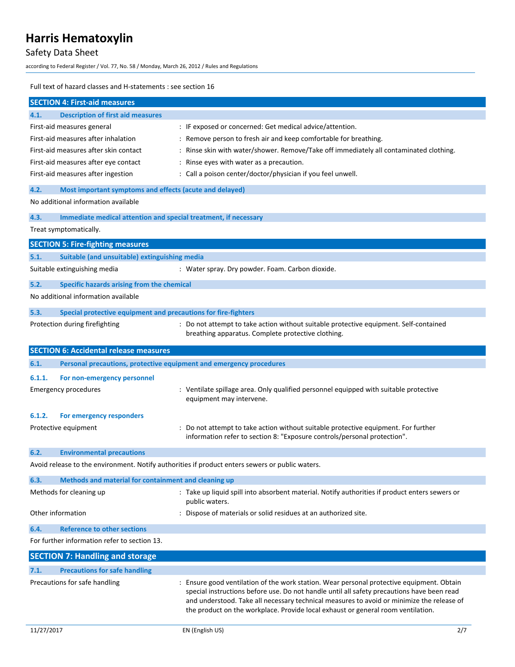# Safety Data Sheet

according to Federal Register / Vol. 77, No. 58 / Monday, March 26, 2012 / Rules and Regulations

#### Full text of hazard classes and H-statements : see section 16

|        | <b>SECTION 4: First-aid measures</b>                                |                                                                                                                                                                                                                                                                                                                                                                          |
|--------|---------------------------------------------------------------------|--------------------------------------------------------------------------------------------------------------------------------------------------------------------------------------------------------------------------------------------------------------------------------------------------------------------------------------------------------------------------|
| 4.1.   | <b>Description of first aid measures</b>                            |                                                                                                                                                                                                                                                                                                                                                                          |
|        | First-aid measures general                                          | : IF exposed or concerned: Get medical advice/attention.                                                                                                                                                                                                                                                                                                                 |
|        | First-aid measures after inhalation                                 | : Remove person to fresh air and keep comfortable for breathing.                                                                                                                                                                                                                                                                                                         |
|        | First-aid measures after skin contact                               | : Rinse skin with water/shower. Remove/Take off immediately all contaminated clothing.                                                                                                                                                                                                                                                                                   |
|        | First-aid measures after eye contact                                | : Rinse eyes with water as a precaution.                                                                                                                                                                                                                                                                                                                                 |
|        | First-aid measures after ingestion                                  | : Call a poison center/doctor/physician if you feel unwell.                                                                                                                                                                                                                                                                                                              |
| 4.2.   | Most important symptoms and effects (acute and delayed)             |                                                                                                                                                                                                                                                                                                                                                                          |
|        | No additional information available                                 |                                                                                                                                                                                                                                                                                                                                                                          |
| 4.3.   | Immediate medical attention and special treatment, if necessary     |                                                                                                                                                                                                                                                                                                                                                                          |
|        | Treat symptomatically.                                              |                                                                                                                                                                                                                                                                                                                                                                          |
|        | <b>SECTION 5: Fire-fighting measures</b>                            |                                                                                                                                                                                                                                                                                                                                                                          |
| 5.1.   | Suitable (and unsuitable) extinguishing media                       |                                                                                                                                                                                                                                                                                                                                                                          |
|        | Suitable extinguishing media                                        | : Water spray. Dry powder. Foam. Carbon dioxide.                                                                                                                                                                                                                                                                                                                         |
| 5.2.   | Specific hazards arising from the chemical                          |                                                                                                                                                                                                                                                                                                                                                                          |
|        | No additional information available                                 |                                                                                                                                                                                                                                                                                                                                                                          |
| 5.3.   | Special protective equipment and precautions for fire-fighters      |                                                                                                                                                                                                                                                                                                                                                                          |
|        | Protection during firefighting                                      | : Do not attempt to take action without suitable protective equipment. Self-contained<br>breathing apparatus. Complete protective clothing.                                                                                                                                                                                                                              |
|        | <b>SECTION 6: Accidental release measures</b>                       |                                                                                                                                                                                                                                                                                                                                                                          |
| 6.1.   | Personal precautions, protective equipment and emergency procedures |                                                                                                                                                                                                                                                                                                                                                                          |
| 6.1.1. | For non-emergency personnel                                         |                                                                                                                                                                                                                                                                                                                                                                          |
|        | <b>Emergency procedures</b>                                         | : Ventilate spillage area. Only qualified personnel equipped with suitable protective<br>equipment may intervene.                                                                                                                                                                                                                                                        |
| 6.1.2. | For emergency responders                                            |                                                                                                                                                                                                                                                                                                                                                                          |
|        | Protective equipment                                                | : Do not attempt to take action without suitable protective equipment. For further<br>information refer to section 8: "Exposure controls/personal protection".                                                                                                                                                                                                           |
| 6.2.   | <b>Environmental precautions</b>                                    |                                                                                                                                                                                                                                                                                                                                                                          |
|        |                                                                     | Avoid release to the environment. Notify authorities if product enters sewers or public waters.                                                                                                                                                                                                                                                                          |
| 6.3.   | Methods and material for containment and cleaning up                |                                                                                                                                                                                                                                                                                                                                                                          |
|        | Methods for cleaning up                                             | : Take up liquid spill into absorbent material. Notify authorities if product enters sewers or<br>public waters.                                                                                                                                                                                                                                                         |
|        | Other information                                                   | Dispose of materials or solid residues at an authorized site.                                                                                                                                                                                                                                                                                                            |
| 6.4.   | <b>Reference to other sections</b>                                  |                                                                                                                                                                                                                                                                                                                                                                          |
|        | For further information refer to section 13.                        |                                                                                                                                                                                                                                                                                                                                                                          |
|        | <b>SECTION 7: Handling and storage</b>                              |                                                                                                                                                                                                                                                                                                                                                                          |
| 7.1.   | <b>Precautions for safe handling</b>                                |                                                                                                                                                                                                                                                                                                                                                                          |
|        | Precautions for safe handling                                       | : Ensure good ventilation of the work station. Wear personal protective equipment. Obtain<br>special instructions before use. Do not handle until all safety precautions have been read<br>and understood. Take all necessary technical measures to avoid or minimize the release of<br>the product on the workplace. Provide local exhaust or general room ventilation. |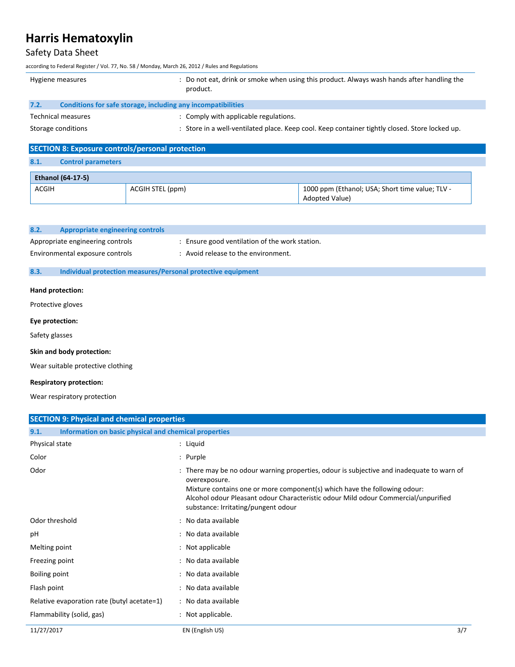## Safety Data Sheet

according to Federal Register / Vol. 77, No. 58 / Monday, March 26, 2012 / Rules and Regulations

|      | Hygiene measures                                             | : Do not eat, drink or smoke when using this product. Always wash hands after handling the<br>product. |
|------|--------------------------------------------------------------|--------------------------------------------------------------------------------------------------------|
| 7.2. | Conditions for safe storage, including any incompatibilities |                                                                                                        |
|      | Technical measures                                           | : Comply with applicable regulations.                                                                  |
|      | Storage conditions                                           | : Store in a well-ventilated place. Keep cool. Keep container tightly closed. Store locked up.         |

| <b>SECTION 8: Exposure controls/personal protection</b> |                           |                  |                                                                          |
|---------------------------------------------------------|---------------------------|------------------|--------------------------------------------------------------------------|
| 8.1.                                                    | <b>Control parameters</b> |                  |                                                                          |
|                                                         | <b>Ethanol (64-17-5)</b>  |                  |                                                                          |
| <b>ACGIH</b>                                            |                           | ACGIH STEL (ppm) | 1000 ppm (Ethanol; USA; Short time value; TLV -<br><b>Adopted Value)</b> |

| 8.2. | Appropriate engineering controls                             |                                                |
|------|--------------------------------------------------------------|------------------------------------------------|
|      | Appropriate engineering controls                             | : Ensure good ventilation of the work station. |
|      | Environmental exposure controls                              | : Avoid release to the environment.            |
| 8.3. | Individual protection measures/Personal protective equipment |                                                |

### **Hand protection:**

Protective gloves

### **Eye protection:**

Safety glasses

### **Skin and body protection:**

Wear suitable protective clothing

### **Respiratory protection:**

Wear respiratory protection

| <b>SECTION 9: Physical and chemical properties</b>            |                                                                                                                                                                                                                                                                                                                      |
|---------------------------------------------------------------|----------------------------------------------------------------------------------------------------------------------------------------------------------------------------------------------------------------------------------------------------------------------------------------------------------------------|
| Information on basic physical and chemical properties<br>9.1. |                                                                                                                                                                                                                                                                                                                      |
| Physical state                                                | : Liquid                                                                                                                                                                                                                                                                                                             |
| Color                                                         | : Purple                                                                                                                                                                                                                                                                                                             |
| Odor                                                          | : There may be no odour warning properties, odour is subjective and inadequate to warn of<br>overexposure.<br>Mixture contains one or more component(s) which have the following odour:<br>Alcohol odour Pleasant odour Characteristic odour Mild odour Commercial/unpurified<br>substance: Irritating/pungent odour |
| Odor threshold                                                | : No data available                                                                                                                                                                                                                                                                                                  |
| pH                                                            | : No data available                                                                                                                                                                                                                                                                                                  |
| Melting point                                                 | : Not applicable                                                                                                                                                                                                                                                                                                     |
| Freezing point                                                | : No data available                                                                                                                                                                                                                                                                                                  |
| Boiling point                                                 | : No data available                                                                                                                                                                                                                                                                                                  |
| Flash point                                                   | : No data available                                                                                                                                                                                                                                                                                                  |
| Relative evaporation rate (butyl acetate=1)                   | : No data available                                                                                                                                                                                                                                                                                                  |
| Flammability (solid, gas)                                     | : Not applicable.                                                                                                                                                                                                                                                                                                    |
| 11/27/2017                                                    | 3/7<br>EN (English US)                                                                                                                                                                                                                                                                                               |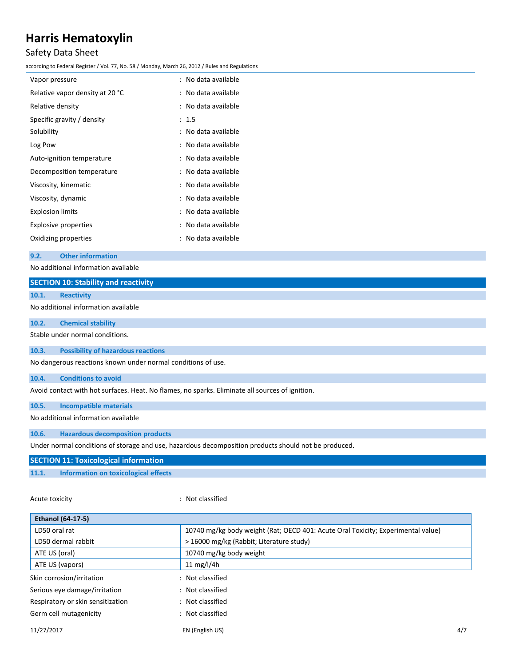# Safety Data Sheet

according to Federal Register / Vol. 77, No. 58 / Monday, March 26, 2012 / Rules and Regulations

| Vapor pressure                  | : No data available |
|---------------------------------|---------------------|
| Relative vapor density at 20 °C | : No data available |
| Relative density                | : No data available |
| Specific gravity / density      | : 1.5               |
| Solubility                      | : No data available |
| Log Pow                         | : No data available |
| Auto-ignition temperature       | : No data available |
| Decomposition temperature       | : No data available |
| Viscosity, kinematic            | : No data available |
| Viscosity, dynamic              | : No data available |
| <b>Explosion limits</b>         | : No data available |
| Explosive properties            | : No data available |
| Oxidizing properties            | : No data available |
|                                 |                     |

### **9.2. Other information**

No additional information available

|       | <b>SECTION 10: Stability and reactivity</b>                                                          |
|-------|------------------------------------------------------------------------------------------------------|
| 10.1. | <b>Reactivity</b>                                                                                    |
|       | No additional information available                                                                  |
| 10.2. | <b>Chemical stability</b>                                                                            |
|       | Stable under normal conditions.                                                                      |
| 10.3. | <b>Possibility of hazardous reactions</b>                                                            |
|       | No dangerous reactions known under normal conditions of use.                                         |
| 10.4. | <b>Conditions to avoid</b>                                                                           |
|       | Avoid contact with hot surfaces. Heat. No flames, no sparks. Eliminate all sources of ignition.      |
| 10.5. | <b>Incompatible materials</b>                                                                        |
|       | No additional information available                                                                  |
| 10.6. | <b>Hazardous decomposition products</b>                                                              |
|       | Under normal conditions of storage and use, hazardous decomposition products should not be produced. |
|       | <b>SECTION 11: Toxicological information</b>                                                         |
| 11.1. | Information on toxicological effects                                                                 |

Acute toxicity **in the case of the Case of the Case of the Case of the Case of the Case of the Case of the Case of the Case of the Case of the Case of the Case of the Case of the Case of the Case of the Case of the Case of** 

| <b>Ethanol (64-17-5)</b>          |                                                                                  |
|-----------------------------------|----------------------------------------------------------------------------------|
| LD50 oral rat                     | 10740 mg/kg body weight (Rat; OECD 401: Acute Oral Toxicity; Experimental value) |
| LD50 dermal rabbit                | > 16000 mg/kg (Rabbit; Literature study)                                         |
| ATE US (oral)                     | 10740 mg/kg body weight                                                          |
| ATE US (vapors)                   | 11 mg/l/4h                                                                       |
| Skin corrosion/irritation         | : Not classified                                                                 |
| Serious eye damage/irritation     | : Not classified                                                                 |
| Respiratory or skin sensitization | : Not classified                                                                 |
| Germ cell mutagenicity            | : Not classified                                                                 |
| 11/27/2017                        | EN (English US)<br>4/7                                                           |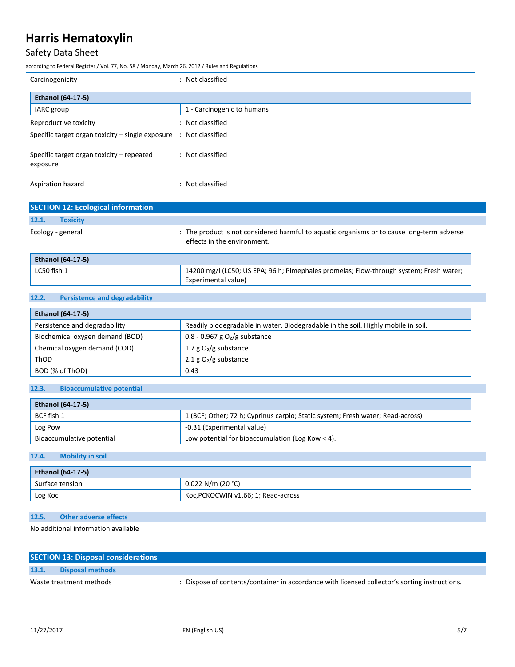# Safety Data Sheet

according to Federal Register / Vol. 77, No. 58 / Monday, March 26, 2012 / Rules and Regulations

| Carcinogenicity                                                              | : Not classified           |
|------------------------------------------------------------------------------|----------------------------|
| <b>Ethanol (64-17-5)</b>                                                     |                            |
| IARC group                                                                   | 1 - Carcinogenic to humans |
| Reproductive toxicity                                                        | : Not classified           |
| Specific target organ toxicity – single exposure $\therefore$ Not classified |                            |
| Specific target organ toxicity – repeated<br>exposure                        | : Not classified           |
| Aspiration hazard                                                            | : Not classified           |

| <b>SECTION 12: Ecological information</b> |                                                                                                                           |
|-------------------------------------------|---------------------------------------------------------------------------------------------------------------------------|
| 12.1.<br><b>Toxicity</b>                  |                                                                                                                           |
| Ecology - general                         | : The product is not considered harmful to aquatic organisms or to cause long-term adverse<br>effects in the environment. |

| <b>Ethanol (64-17-5)</b> |                                                                                                     |
|--------------------------|-----------------------------------------------------------------------------------------------------|
| $^{\prime}$ LC50 fish 1  | <sup>1</sup> 14200 mg/l (LC50; US EPA; 96 h; Pimephales promelas; Flow-through system; Fresh water; |
|                          | Experimental value)                                                                                 |

## **12.2. Persistence and degradability**

| <b>Ethanol (64-17-5)</b>        |                                                                                   |  |
|---------------------------------|-----------------------------------------------------------------------------------|--|
| Persistence and degradability   | Readily biodegradable in water. Biodegradable in the soil. Highly mobile in soil. |  |
| Biochemical oxygen demand (BOD) | 0.8 - 0.967 g $O_2/g$ substance                                                   |  |
| Chemical oxygen demand (COD)    | 1.7 g $O_2/g$ substance                                                           |  |
| ThOD                            | 2.1 g $O_2/g$ substance                                                           |  |
| BOD (% of ThOD)                 | 0.43                                                                              |  |

### **12.3. Bioaccumulative potential**

| <b>Ethanol (64-17-5)</b>  |                                                                                |
|---------------------------|--------------------------------------------------------------------------------|
| BCF fish 1                | 1 (BCF; Other; 72 h; Cyprinus carpio; Static system; Fresh water; Read-across) |
| Log Pow                   | -0.31 (Experimental value)                                                     |
| Bioaccumulative potential | Low potential for bioaccumulation (Log Kow $<$ 4).                             |

### **12.4. Mobility in soil**

| <b>Ethanol (64-17-5)</b> |                                     |
|--------------------------|-------------------------------------|
| Surface tension          | $0.022$ N/m (20 °C)                 |
| Log Koc                  | Koc, PCKOCWIN v1.66; 1; Read-across |

### **12.5. Other adverse effects**

No additional information available

|       | <b>SECTION 13: Disposal considerations</b> |                                                                                               |
|-------|--------------------------------------------|-----------------------------------------------------------------------------------------------|
| 13.1. | Disposal methods                           |                                                                                               |
|       | Waste treatment methods                    | : Dispose of contents/container in accordance with licensed collector's sorting instructions. |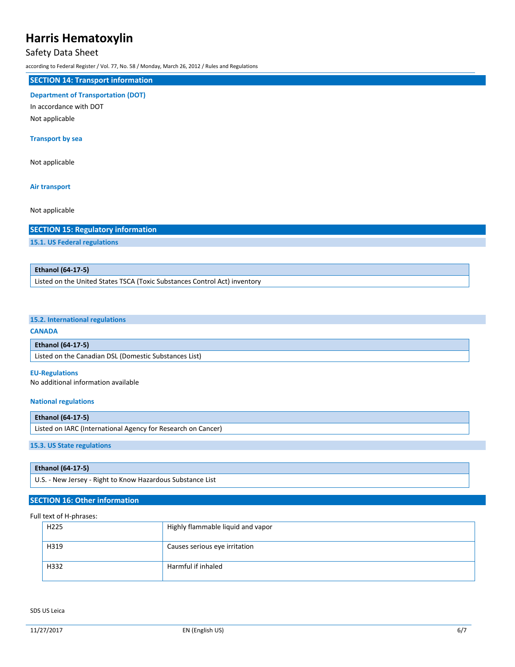### Safety Data Sheet

according to Federal Register / Vol. 77, No. 58 / Monday, March 26, 2012 / Rules and Regulations

## **SECTION 14: Transport information**

### **Department of Transportation (DOT)**

In accordance with DOT

Not applicable

### **Transport by sea**

Not applicable

#### **Air transport**

Not applicable

### **SECTION 15: Regulatory information**

**15.1. US Federal regulations**

### **Ethanol (64-17-5)**

Listed on the United States TSCA (Toxic Substances Control Act) inventory

### **15.2. International regulations**

#### **CANADA**

#### **Ethanol (64-17-5)**

Listed on the Canadian DSL (Domestic Substances List)

#### **EU-Regulations**

No additional information available

#### **National regulations**

## **Ethanol (64-17-5)** Listed on IARC (International Agency for Research on Cancer)

### **15.3. US State regulations**

| <b>Ethanol (64-17-5)</b>                                   |  |
|------------------------------------------------------------|--|
| U.S. - New Jersey - Right to Know Hazardous Substance List |  |

## **SECTION 16: Other information**

### Full text of H-phrases:

| H <sub>225</sub> | Highly flammable liquid and vapor |
|------------------|-----------------------------------|
| H319             | Causes serious eye irritation     |
| H332             | Harmful if inhaled                |

SDS US Leica